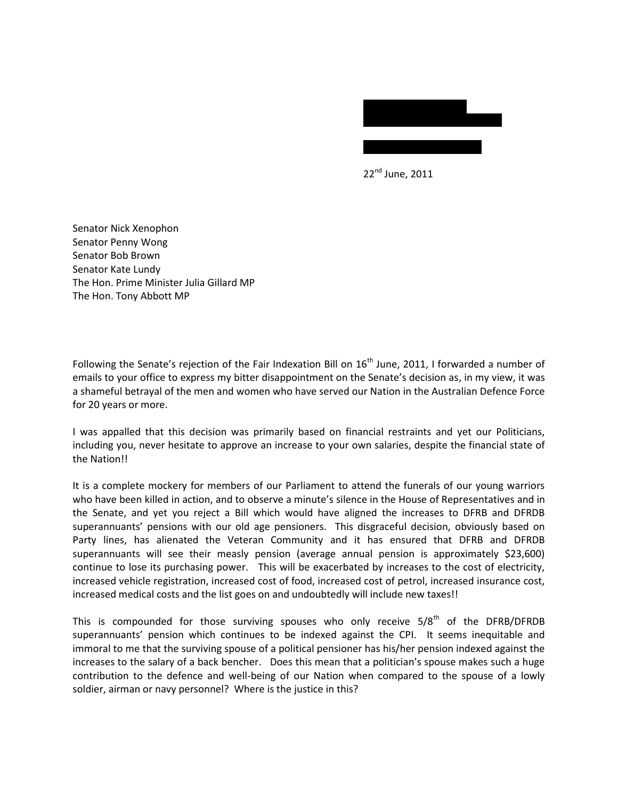22nd June, 2011

Senator Nick Xenophon Senator Penny Wong Senator Bob Brown Senator Kate Lundy The Hon. Prime Minister Julia Gillard MP The Hon. Tony Abbott MP

Following the Senate's rejection of the Fair Indexation Bill on  $16<sup>th</sup>$  June, 2011, I forwarded a number of emails to your office to express my bitter disappointment on the Senate's decision as, in my view, it was a shameful betrayal of the men and women who have served our Nation in the Australian Defence Force for 20 years or more.

I was appalled that this decision was primarily based on financial restraints and yet our Politicians, including you, never hesitate to approve an increase to your own salaries, despite the financial state of the Nation!!

It is a complete mockery for members of our Parliament to attend the funerals of our young warriors who have been killed in action, and to observe a minute's silence in the House of Representatives and in the Senate, and yet you reject a Bill which would have aligned the increases to DFRB and DFRDB superannuants' pensions with our old age pensioners. This disgraceful decision, obviously based on Party lines, has alienated the Veteran Community and it has ensured that DFRB and DFRDB superannuants will see their measly pension (average annual pension is approximately \$23,600) continue to lose its purchasing power. This will be exacerbated by increases to the cost of electricity, increased vehicle registration, increased cost of food, increased cost of petrol, increased insurance cost, increased medical costs and the list goes on and undoubtedly will include new taxes!!

This is compounded for those surviving spouses who only receive  $5/8^{th}$  of the DFRB/DFRDB superannuants' pension which continues to be indexed against the CPI. It seems inequitable and immoral to me that the surviving spouse of a political pensioner has his/her pension indexed against the increases to the salary of a back bencher. Does this mean that a politician's spouse makes such a huge contribution to the defence and well-being of our Nation when compared to the spouse of a lowly soldier, airman or navy personnel? Where is the justice in this?